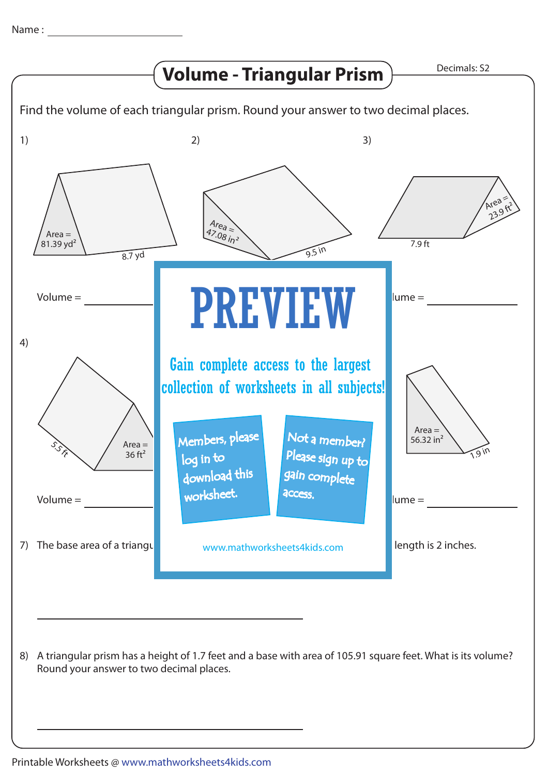